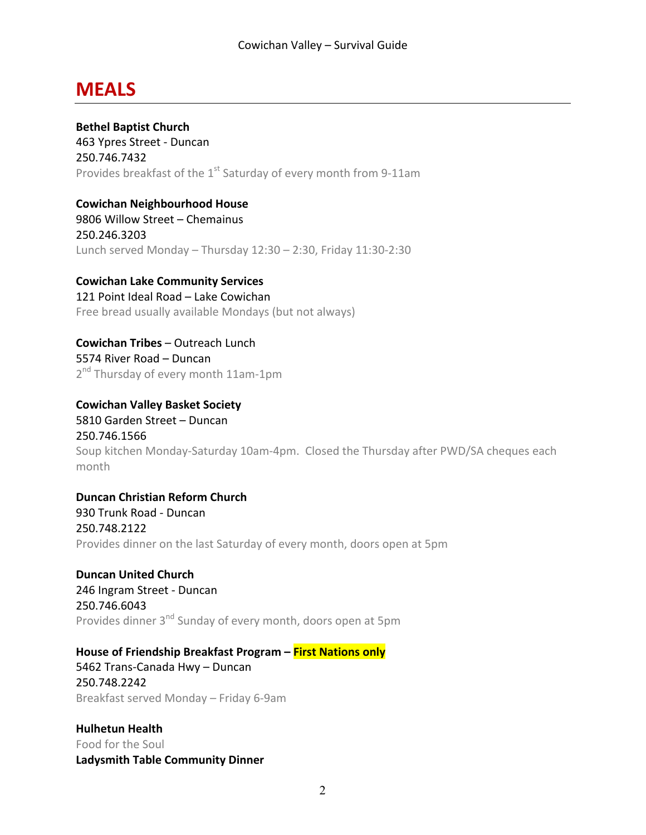### **MEALS**

**Bethel Baptist Church** 463 Ypres Street - Duncan 250.746.7432 Provides breakfast of the  $1<sup>st</sup>$  Saturday of every month from 9-11am

**Cowichan Neighbourhood House**

9806 Willow Street - Chemainus 250.246.3203 Lunch served Monday – Thursday  $12:30 - 2:30$ , Friday  $11:30 - 2:30$ 

**Cowichan Lake Community Services**

121 Point Ideal Road - Lake Cowichan Free bread usually available Mondays (but not always)

**Cowichan Tribes** – Outreach Lunch 5574 River Road - Duncan 2<sup>nd</sup> Thursday of every month 11am-1pm

**Cowichan Valley Basket Society** 5810 Garden Street - Duncan 250.746.1566 Soup kitchen Monday-Saturday 10am-4pm. Closed the Thursday after PWD/SA cheques each month

**Duncan Christian Reform Church** 930 Trunk Road - Duncan 250.748.2122 Provides dinner on the last Saturday of every month, doors open at 5pm

**Duncan United Church** 246 Ingram Street - Duncan 250.746.6043 Provides dinner 3<sup>nd</sup> Sunday of every month, doors open at 5pm

**House of Friendship Breakfast Program – First Nations only** 

5462 Trans-Canada Hwy - Duncan 250.748.2242 Breakfast served Monday – Friday 6-9am

**Hulhetun Health** Food for the Soul **Ladysmith Table Community Dinner**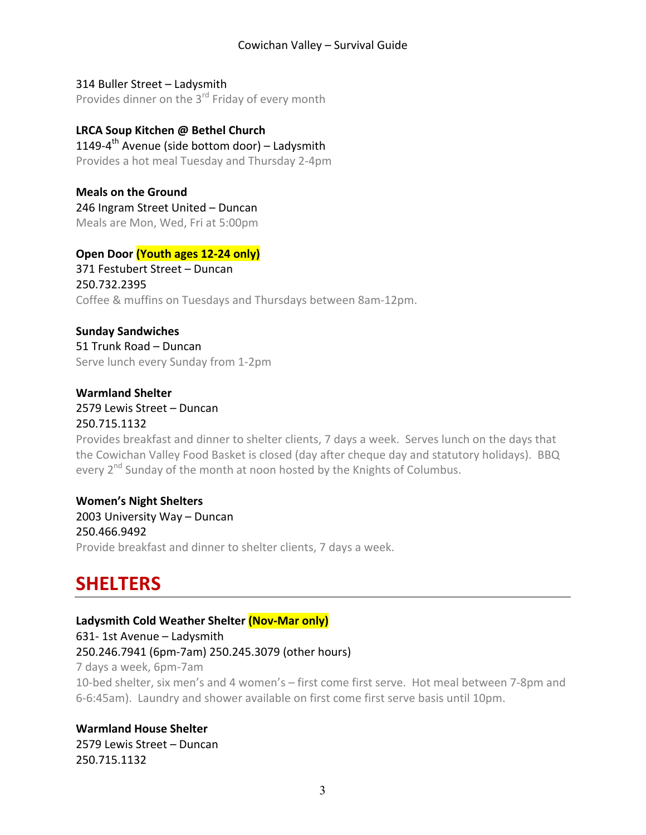314 Buller Street – Ladysmith Provides dinner on the  $3^{rd}$  Friday of every month

#### **LRCA Soup Kitchen @ Bethel Church** 1149-4<sup>th</sup> Avenue (side bottom door) – Ladysmith

Provides a hot meal Tuesday and Thursday 2-4pm

**Meals on the Ground** 246 Ingram Street United - Duncan Meals are Mon, Wed, Fri at 5:00pm

#### **Open Door (Youth ages 12-24 only)**

371 Festubert Street - Duncan 250.732.2395 Coffee & muffins on Tuesdays and Thursdays between 8am-12pm.

### **Sunday Sandwiches**

51 Trunk Road – Duncan Serve lunch every Sunday from 1-2pm

#### **Warmland Shelter** 2579 Lewis Street – Duncan 250.715.1132

Provides breakfast and dinner to shelter clients, 7 days a week. Serves lunch on the days that the Cowichan Valley Food Basket is closed (day after cheque day and statutory holidays). BBQ every  $2^{nd}$  Sunday of the month at noon hosted by the Knights of Columbus.

#### **Women's Night Shelters** 2003 University Way - Duncan 250.466.9492 Provide breakfast and dinner to shelter clients, 7 days a week.

### **SHELTERS**

#### Ladysmith Cold Weather Shelter **(Nov-Mar only)**

631- 1st Avenue - Ladysmith

250.246.7941 (6pm-7am) 250.245.3079 (other hours)

7 days a week, 6pm-7am

10-bed shelter, six men's and 4 women's - first come first serve. Hot meal between 7-8pm and 6-6:45am). Laundry and shower available on first come first serve basis until 10pm.

### **Warmland House Shelter**

2579 Lewis Street - Duncan 250.715.1132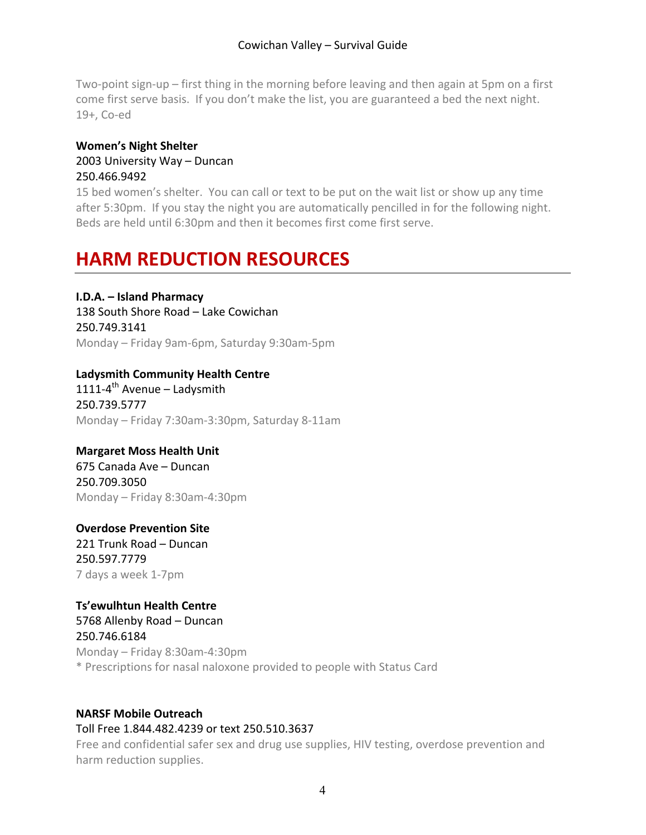Two-point sign-up – first thing in the morning before leaving and then again at 5pm on a first come first serve basis. If you don't make the list, you are guaranteed a bed the next night. 19+, Co-ed

#### **Women's Night Shelter** 2003 University Way - Duncan 250.466.9492

15 bed women's shelter. You can call or text to be put on the wait list or show up any time after 5:30pm. If you stay the night you are automatically pencilled in for the following night. Beds are held until 6:30pm and then it becomes first come first serve.

# **HARM REDUCTION RESOURCES**

#### **I.D.A. – Island Pharmacy**

138 South Shore Road – Lake Cowichan 250.749.3141 Monday – Friday 9am-6pm, Saturday 9:30am-5pm

#### **Ladysmith Community Health Centre**

1111-4<sup>th</sup> Avenue – Ladysmith 250.739.5777 Monday - Friday 7:30am-3:30pm, Saturday 8-11am

#### **Margaret Moss Health Unit**

675 Canada Ave – Duncan 250.709.3050 Monday – Friday 8:30am-4:30pm

#### **Overdose Prevention Site** 221 Trunk Road – Duncan 250.597.7779 7 days a week 1-7pm

#### **Ts'ewulhtun Health Centre**

5768 Allenby Road - Duncan 250.746.6184 Monday – Friday 8:30am-4:30pm \* Prescriptions for nasal naloxone provided to people with Status Card

#### **NARSF Mobile Outreach**

#### Toll Free 1.844.482.4239 or text 250.510.3637

Free and confidential safer sex and drug use supplies, HIV testing, overdose prevention and harm reduction supplies.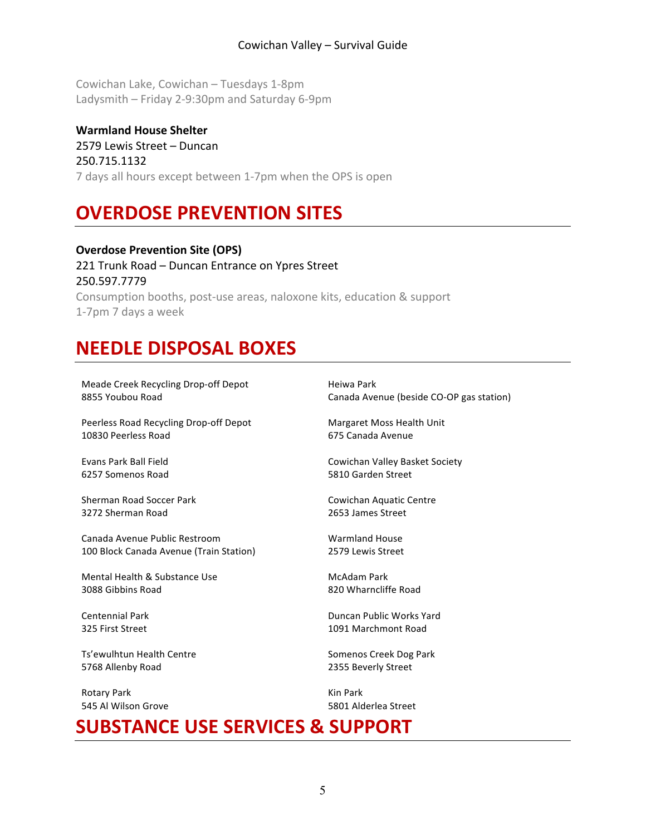Cowichan Lake, Cowichan - Tuesdays 1-8pm Ladysmith – Friday 2-9:30pm and Saturday 6-9pm

**Warmland House Shelter** 2579 Lewis Street – Duncan 250.715.1132 7 days all hours except between 1-7pm when the OPS is open

# **OVERDOSE PREVENTION SITES**

**Overdose Prevention Site (OPS)** 221 Trunk Road - Duncan Entrance on Ypres Street 250.597.7779 Consumption booths, post-use areas, naloxone kits, education & support 1-7pm 7 days a week

# **NEEDLE DISPOSAL BOXES**

Meade Creek Recycling Drop-off Depot 8855 Youbou Road Peerless Road Recycling Drop-off Depot 10830 Peerless Road

Evans Park Ball Field 6257 Somenos Road

Sherman Road Soccer Park 3272 Sherman Road

Canada Avenue Public Restroom 100 Block Canada Avenue (Train Station)

Mental Health & Substance Use 3088 Gibbins Road

Centennial Park 325 First Street

Ts'ewulhtun Health Centre 5768 Allenby Road

Rotary Park 545 Al Wilson Grove Heiwa Park Canada Avenue (beside CO-OP gas station)

Margaret Moss Health Unit 675 Canada Avenue

Cowichan Valley Basket Society 5810 Garden Street

Cowichan Aquatic Centre 2653 James Street

Warmland House 2579 Lewis Street

McAdam Park 820 Wharncliffe Road

Duncan Public Works Yard 1091 Marchmont Road

Somenos Creek Dog Park 2355 Beverly Street

Kin Park 5801 Alderlea Street

### **SUBSTANCE USE SERVICES & SUPPORT**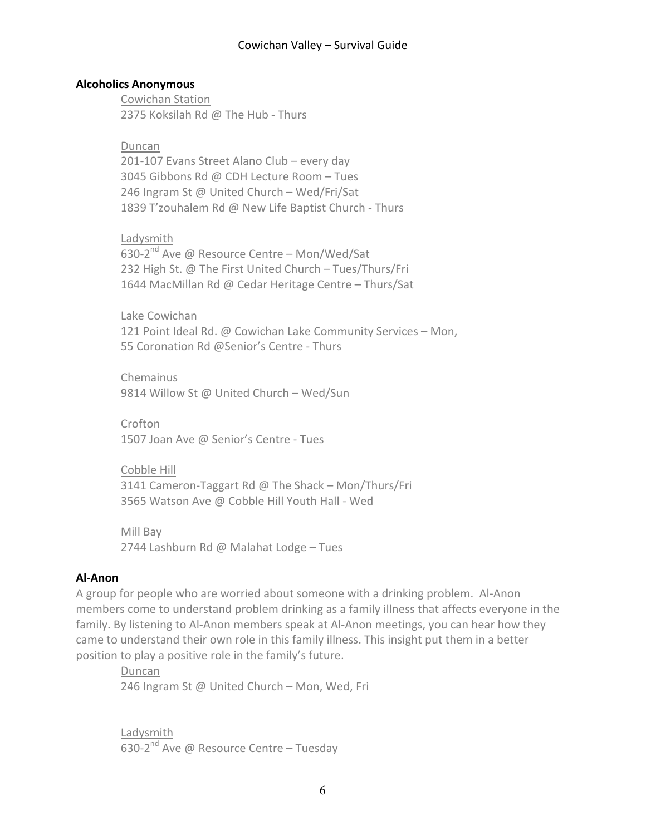#### **Alcoholics Anonymous**

Cowichan Station 2375 Koksilah Rd @ The Hub - Thurs

Duncan 201-107 Evans Street Alano Club - every day 3045 Gibbons Rd @ CDH Lecture Room - Tues 246 Ingram St @ United Church - Wed/Fri/Sat 1839 T'zouhalem Rd @ New Life Baptist Church - Thurs

Ladysmith 630-2<sup>nd</sup> Ave @ Resource Centre - Mon/Wed/Sat 232 High St. @ The First United Church - Tues/Thurs/Fri 1644 MacMillan Rd @ Cedar Heritage Centre - Thurs/Sat

Lake Cowichan 121 Point Ideal Rd. @ Cowichan Lake Community Services - Mon, 55 Coronation Rd @Senior's Centre - Thurs

Chemainus 9814 Willow St @ United Church - Wed/Sun

Crofton 1507 Joan Ave @ Senior's Centre - Tues

Cobble Hill 3141 Cameron-Taggart Rd @ The Shack – Mon/Thurs/Fri 3565 Watson Ave @ Cobble Hill Youth Hall - Wed

Mill Bay 2744 Lashburn Rd @ Malahat Lodge - Tues

#### **Al-Anon**

A group for people who are worried about someone with a drinking problem. Al-Anon members come to understand problem drinking as a family illness that affects everyone in the family. By listening to Al-Anon members speak at Al-Anon meetings, you can hear how they came to understand their own role in this family illness. This insight put them in a better position to play a positive role in the family's future.

Duncan 246 Ingram St @ United Church - Mon, Wed, Fri

Ladysmith 630-2<sup>nd</sup> Ave @ Resource Centre – Tuesday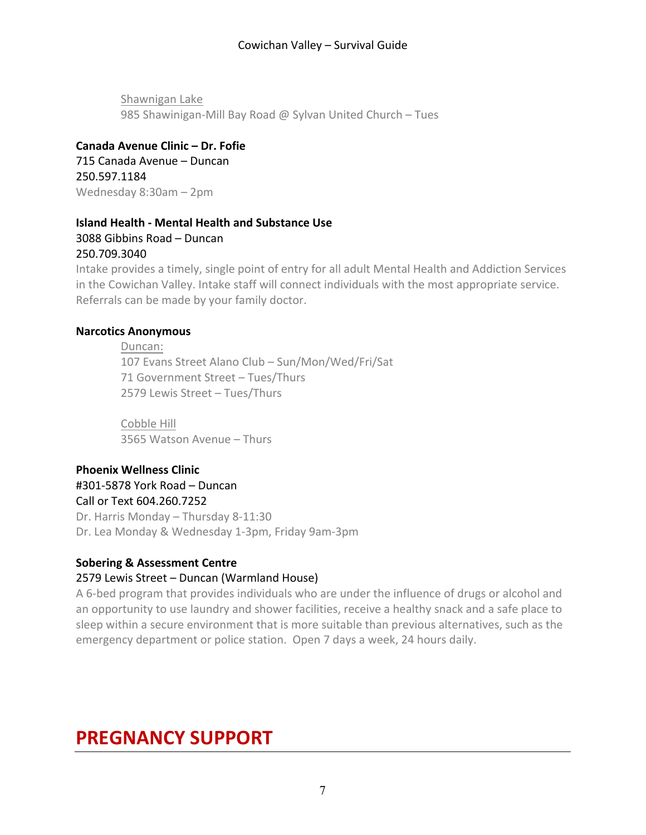Shawnigan Lake 985 Shawinigan-Mill Bay Road @ Sylvan United Church - Tues

#### **Canada Avenue Clinic – Dr. Fofie**

715 Canada Avenue – Duncan 250.597.1184 Wednesday 8:30am - 2pm

#### **Island Health - Mental Health and Substance Use** 3088 Gibbins Road – Duncan 250.709.3040

Intake provides a timely, single point of entry for all adult Mental Health and Addiction Services in the Cowichan Valley. Intake staff will connect individuals with the most appropriate service. Referrals can be made by your family doctor.

#### **Narcotics Anonymous**

Duncan: 107 Evans Street Alano Club - Sun/Mon/Wed/Fri/Sat 71 Government Street - Tues/Thurs 2579 Lewis Street - Tues/Thurs

Cobble Hill 3565 Watson Avenue - Thurs

#### **Phoenix Wellness Clinic** #301-5878 York Road – Duncan

Call or Text 604.260.7252

Dr. Harris Monday - Thursday 8-11:30 Dr. Lea Monday & Wednesday 1-3pm, Friday 9am-3pm

#### **Sobering & Assessment Centre**

#### 2579 Lewis Street - Duncan (Warmland House)

A 6-bed program that provides individuals who are under the influence of drugs or alcohol and an opportunity to use laundry and shower facilities, receive a healthy snack and a safe place to sleep within a secure environment that is more suitable than previous alternatives, such as the emergency department or police station. Open 7 days a week, 24 hours daily.

# **PREGNANCY SUPPORT**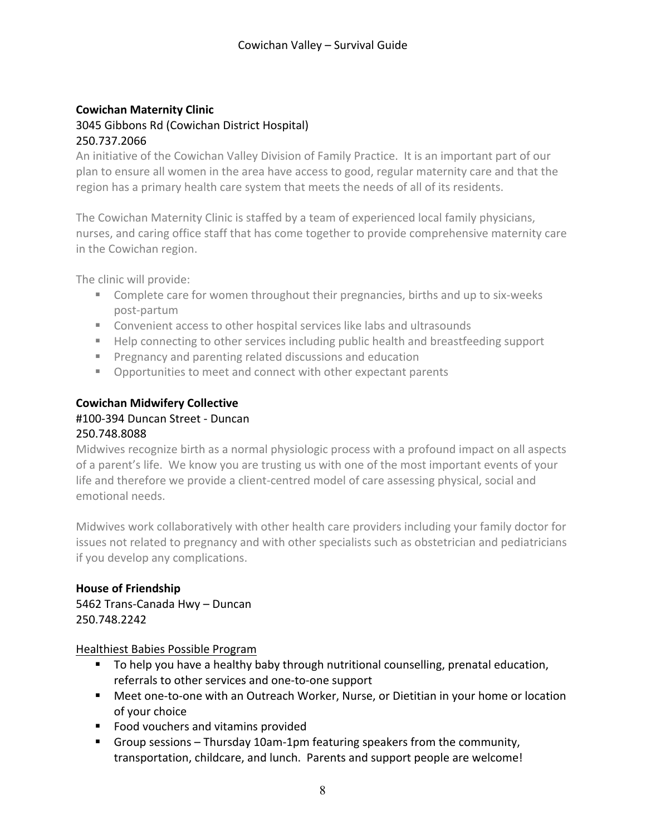#### **Cowichan Maternity Clinic** 3045 Gibbons Rd (Cowichan District Hospital) 250.737.2066

An initiative of the Cowichan Valley Division of Family Practice. It is an important part of our plan to ensure all women in the area have access to good, regular maternity care and that the region has a primary health care system that meets the needs of all of its residents.

The Cowichan Maternity Clinic is staffed by a team of experienced local family physicians, nurses, and caring office staff that has come together to provide comprehensive maternity care in the Cowichan region.

The clinic will provide:

- Complete care for women throughout their pregnancies, births and up to six-weeks post-partum
- Convenient access to other hospital services like labs and ultrasounds
- Help connecting to other services including public health and breastfeeding support
- Pregnancy and parenting related discussions and education
- Opportunities to meet and connect with other expectant parents

#### **Cowichan Midwifery Collective**

#### #100-394 Duncan Street - Duncan 250.748.8088

Midwives recognize birth as a normal physiologic process with a profound impact on all aspects of a parent's life. We know you are trusting us with one of the most important events of your life and therefore we provide a client-centred model of care assessing physical, social and emotional needs.

Midwives work collaboratively with other health care providers including your family doctor for issues not related to pregnancy and with other specialists such as obstetrician and pediatricians if you develop any complications.

#### **House of Friendship**

5462 Trans-Canada Hwy - Duncan 250.748.2242

#### Healthiest Babies Possible Program

- To help you have a healthy baby through nutritional counselling, prenatal education, referrals to other services and one-to-one support
- Meet one-to-one with an Outreach Worker, Nurse, or Dietitian in your home or location of your choice
- Food vouchers and vitamins provided
- **•** Group sessions Thursday 10am-1pm featuring speakers from the community, transportation, childcare, and lunch. Parents and support people are welcome!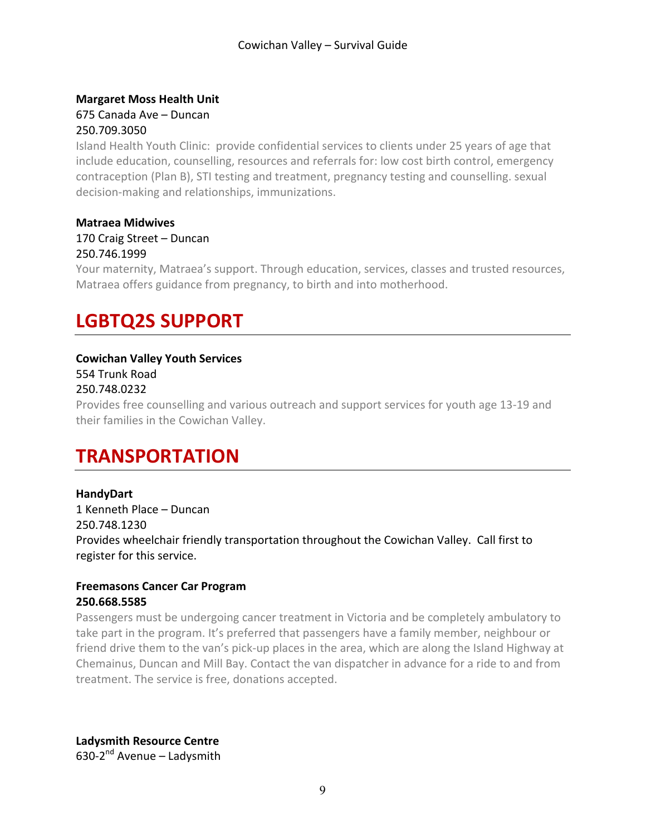#### **Margaret Moss Health Unit** 675 Canada Ave – Duncan 250.709.3050

Island Health Youth Clinic: provide confidential services to clients under 25 years of age that include education, counselling, resources and referrals for: low cost birth control, emergency contraception (Plan B), STI testing and treatment, pregnancy testing and counselling. sexual decision-making and relationships, immunizations.

#### **Matraea Midwives** 170 Craig Street - Duncan 250.746.1999

Your maternity, Matraea's support. Through education, services, classes and trusted resources, Matraea offers guidance from pregnancy, to birth and into motherhood.

# **LGBTQ2S SUPPORT**

#### **Cowichan Valley Youth Services**

554 Trunk Road

#### 250.748.0232

Provides free counselling and various outreach and support services for youth age 13-19 and their families in the Cowichan Valley.

# **TRANSPORTATION**

#### **HandyDart** 1 Kenneth Place – Duncan 250.748.1230 Provides wheelchair friendly transportation throughout the Cowichan Valley. Call first to register for this service.

#### **Freemasons Cancer Car Program 250.668.5585**

Passengers must be undergoing cancer treatment in Victoria and be completely ambulatory to take part in the program. It's preferred that passengers have a family member, neighbour or friend drive them to the van's pick-up places in the area, which are along the Island Highway at Chemainus, Duncan and Mill Bay. Contact the van dispatcher in advance for a ride to and from treatment. The service is free, donations accepted.

**Ladysmith Resource Centre** 630-2 $<sup>nd</sup>$  Avenue – Ladysmith</sup>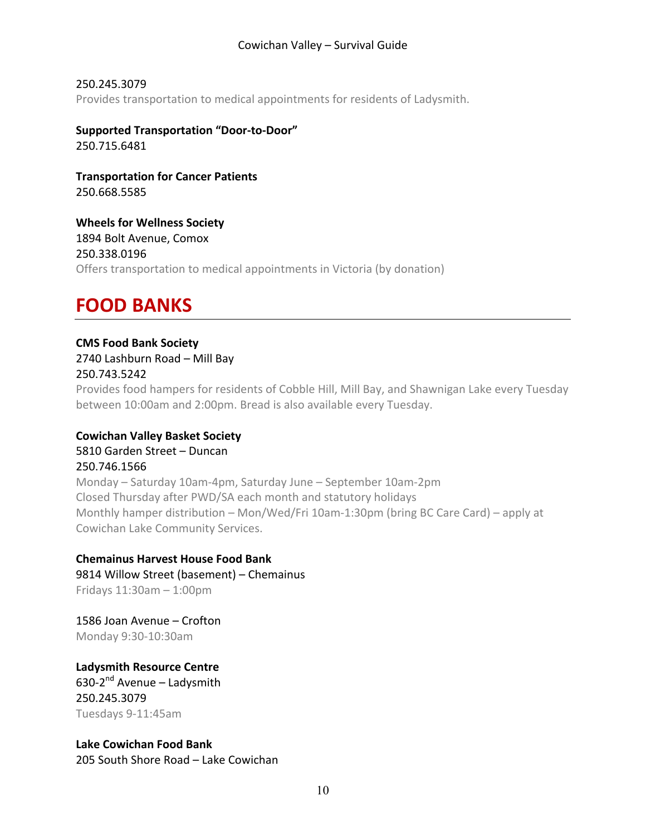250.245.3079 Provides transportation to medical appointments for residents of Ladysmith.

**Supported Transportation "Door-to-Door"** 250.715.6481

**Transportation for Cancer Patients** 250.668.5585

**Wheels for Wellness Society** 1894 Bolt Avenue, Comox 250.338.0196 Offers transportation to medical appointments in Victoria (by donation)

### **FOOD BANKS**

#### **CMS Food Bank Society** 2740 Lashburn Road - Mill Bay

250.743.5242

Provides food hampers for residents of Cobble Hill, Mill Bay, and Shawnigan Lake every Tuesday between 10:00am and 2:00pm. Bread is also available every Tuesday.

#### **Cowichan Valley Basket Society** 5810 Garden Street - Duncan 250.746.1566

Monday – Saturday 10am-4pm, Saturday June – September 10am-2pm Closed Thursday after PWD/SA each month and statutory holidays Monthly hamper distribution – Mon/Wed/Fri 10am-1:30pm (bring BC Care Card) – apply at Cowichan Lake Community Services.

#### **Chemainus Harvest House Food Bank**

9814 Willow Street (basement) - Chemainus Fridays  $11:30$ am  $- 1:00$ pm

1586 Joan Avenue - Crofton Monday 9:30-10:30am

**Ladysmith Resource Centre** 630-2 $<sup>nd</sup>$  Avenue – Ladysmith</sup> 250.245.3079 Tuesdays 9-11:45am

**Lake Cowichan Food Bank** 205 South Shore Road – Lake Cowichan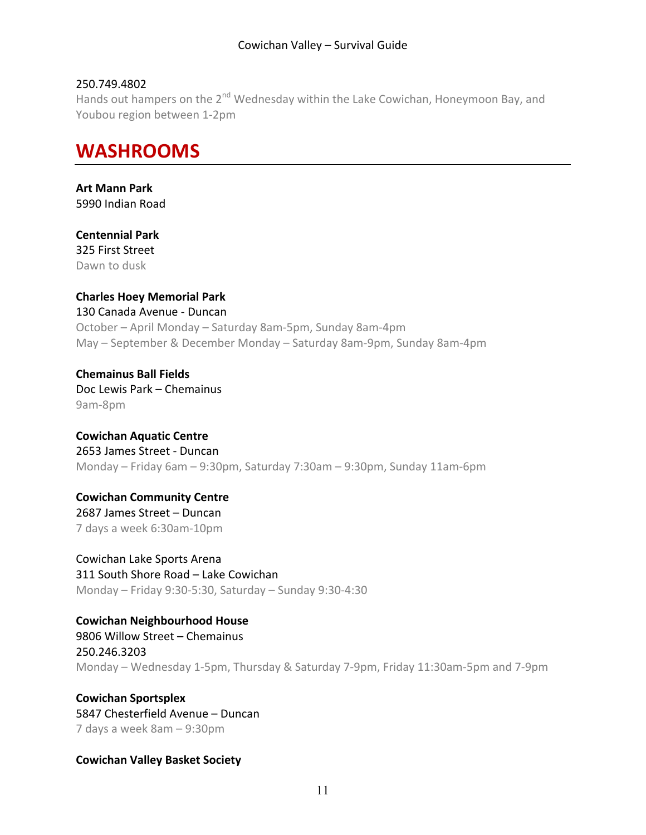#### 250.749.4802

Hands out hampers on the  $2^{nd}$  Wednesday within the Lake Cowichan, Honeymoon Bay, and Youbou region between 1-2pm

### **WASHROOMS**

**Art Mann Park** 5990 Indian Road

**Centennial Park** 325 First Street Dawn to dusk

**Charles Hoey Memorial Park** 130 Canada Avenue - Duncan October – April Monday – Saturday 8am-5pm, Sunday 8am-4pm May – September & December Monday – Saturday 8am-9pm, Sunday 8am-4pm

**Chemainus Ball Fields** Doc Lewis Park - Chemainus 9am-8pm

**Cowichan Aquatic Centre** 2653 James Street - Duncan Monday – Friday 6am – 9:30pm, Saturday 7:30am – 9:30pm, Sunday 11am-6pm

**Cowichan Community Centre**  2687 James Street - Duncan 7 days a week 6:30am-10pm

Cowichan Lake Sports Arena 311 South Shore Road - Lake Cowichan Monday – Friday 9:30-5:30, Saturday – Sunday 9:30-4:30

**Cowichan Neighbourhood House**

9806 Willow Street - Chemainus 250.246.3203 Monday – Wednesday 1-5pm, Thursday & Saturday 7-9pm, Friday 11:30am-5pm and 7-9pm

**Cowichan Sportsplex** 5847 Chesterfield Avenue - Duncan 7 days a week 8am - 9:30pm

**Cowichan Valley Basket Society**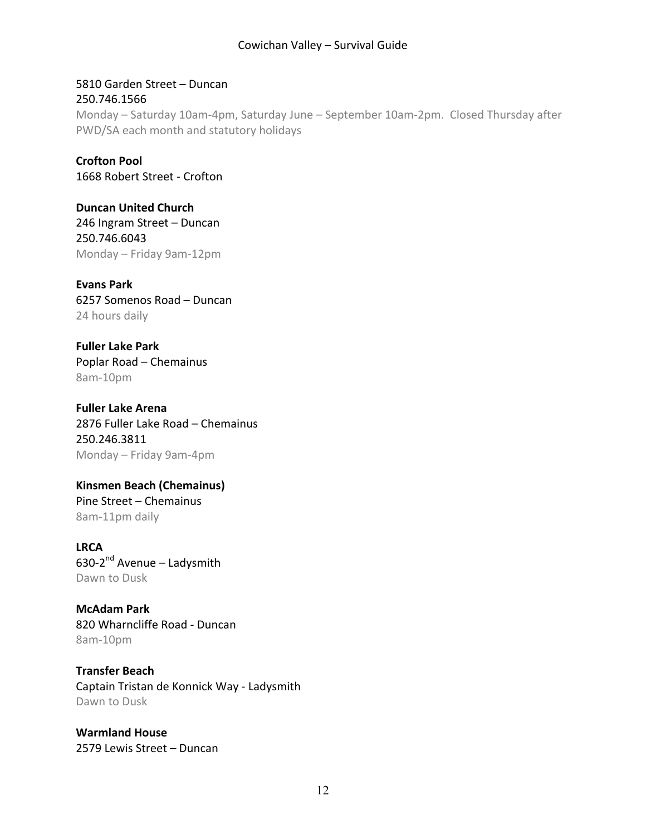5810 Garden Street - Duncan 250.746.1566 Monday – Saturday 10am-4pm, Saturday June – September 10am-2pm. Closed Thursday after PWD/SA each month and statutory holidays

**Crofton Pool** 1668 Robert Street - Crofton

**Duncan United Church** 246 Ingram Street - Duncan 250.746.6043 Monday – Friday 9am-12pm

**Evans Park** 6257 Somenos Road – Duncan 24 hours daily

**Fuller Lake Park** Poplar Road - Chemainus 8am-10pm

**Fuller Lake Arena** 2876 Fuller Lake Road - Chemainus 250.246.3811 Monday – Friday 9am-4pm

**Kinsmen Beach (Chemainus)** Pine Street - Chemainus 8am-11pm daily

**LRCA** 630-2 $<sup>nd</sup>$  Avenue – Ladysmith</sup> Dawn to Dusk

**McAdam Park** 820 Wharncliffe Road - Duncan 8am-10pm

**Transfer Beach** Captain Tristan de Konnick Way - Ladysmith Dawn to Dusk

**Warmland House**  2579 Lewis Street - Duncan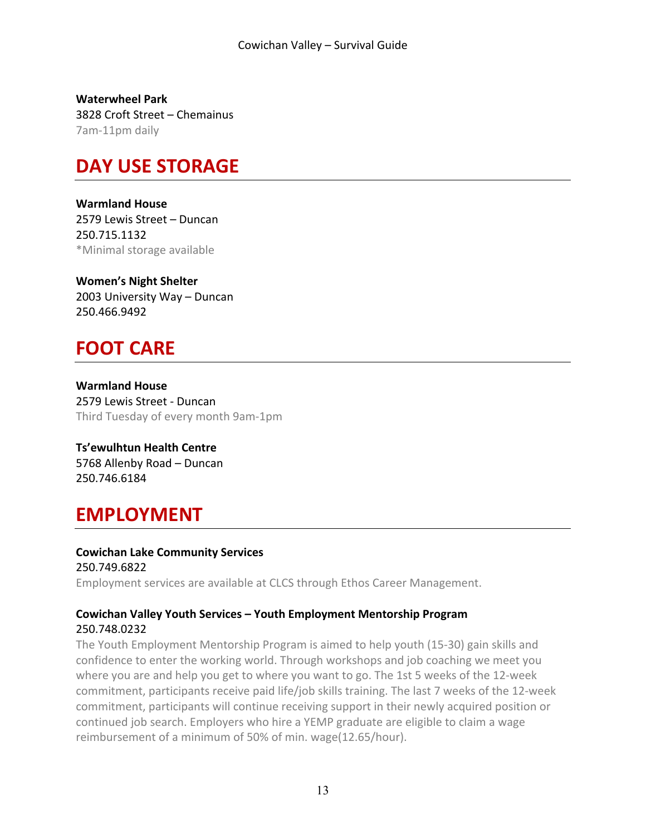**Waterwheel Park** 3828 Croft Street – Chemainus 7am-11pm daily

### **DAY USE STORAGE**

**Warmland House**  2579 Lewis Street - Duncan 250.715.1132 \*Minimal storage available

**Women's Night Shelter** 2003 University Way - Duncan 250.466.9492

# **FOOT CARE**

**Warmland House**  2579 Lewis Street - Duncan Third Tuesday of every month 9am-1pm

**Ts'ewulhtun Health Centre** 5768 Allenby Road - Duncan 250.746.6184

### **EMPLOYMENT**

### **Cowichan Lake Community Services**

250.749.6822 Employment services are available at CLCS through Ethos Career Management.

#### **Cowichan Valley Youth Services – Youth Employment Mentorship Program** 250.748.0232

The Youth Employment Mentorship Program is aimed to help youth (15-30) gain skills and confidence to enter the working world. Through workshops and job coaching we meet you where you are and help you get to where you want to go. The 1st 5 weeks of the 12-week commitment, participants receive paid life/job skills training. The last 7 weeks of the 12-week commitment, participants will continue receiving support in their newly acquired position or continued job search. Employers who hire a YEMP graduate are eligible to claim a wage reimbursement of a minimum of 50% of min. wage(12.65/hour).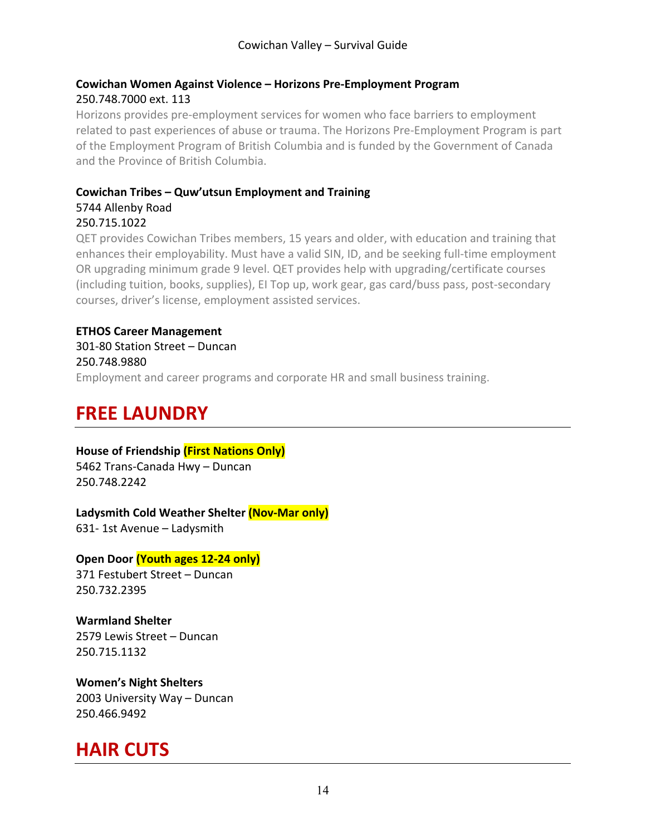#### **Cowichan Women Against Violence – Horizons Pre-Employment Program** 250.748.7000 ext. 113

Horizons provides pre-employment services for women who face barriers to employment related to past experiences of abuse or trauma. The Horizons Pre-Employment Program is part of the Employment Program of British Columbia and is funded by the Government of Canada and the Province of British Columbia.

#### **Cowichan Tribes – Quw'utsun Employment and Training** 5744 Allenby Road 250.715.1022

QET provides Cowichan Tribes members, 15 years and older, with education and training that enhances their employability. Must have a valid SIN, ID, and be seeking full-time employment OR upgrading minimum grade 9 level. QET provides help with upgrading/certificate courses (including tuition, books, supplies), EI Top up, work gear, gas card/buss pass, post-secondary courses, driver's license, employment assisted services.

#### **ETHOS Career Management**

301-80 Station Street - Duncan 250.748.9880 Employment and career programs and corporate HR and small business training.

# **FREE LAUNDRY**

#### **House of Friendship (First Nations Only)**

5462 Trans-Canada Hwy - Duncan 250.748.2242

#### Ladysmith Cold Weather Shelter *(Nov-Mar only)*

631- 1st Avenue - Ladysmith

#### **Open Door (Youth ages 12-24 only)**

371 Festubert Street - Duncan 250.732.2395

**Warmland Shelter** 2579 Lewis Street - Duncan 250.715.1132

**Women's Night Shelters** 2003 University Way - Duncan 250.466.9492

### **HAIR CUTS**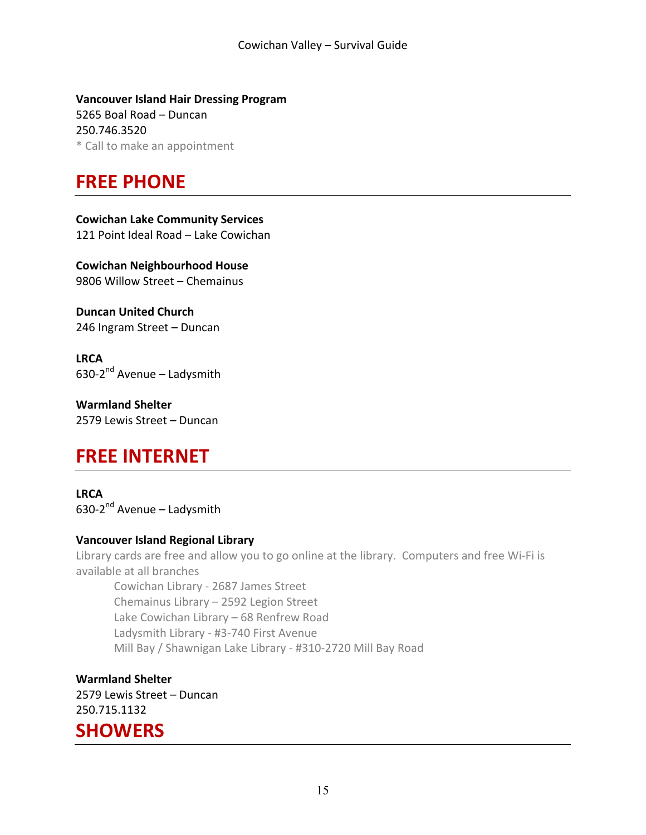**Vancouver Island Hair Dressing Program** 5265 Boal Road - Duncan 250.746.3520 \* Call to make an appointment

### **FREE PHONE**

**Cowichan Lake Community Services** 121 Point Ideal Road - Lake Cowichan

**Cowichan Neighbourhood House** 9806 Willow Street - Chemainus

**Duncan United Church** 246 Ingram Street - Duncan

**LRCA** 630-2 $<sup>nd</sup>$  Avenue – Ladysmith</sup>

**Warmland Shelter** 2579 Lewis Street - Duncan

### **FREE INTERNET**

**LRCA** 630-2 $<sup>nd</sup>$  Avenue – Ladysmith</sup>

#### **Vancouver Island Regional Library**

Library cards are free and allow you to go online at the library. Computers and free Wi-Fi is available at all branches

Cowichan Library - 2687 James Street Chemainus Library - 2592 Legion Street Lake Cowichan Library - 68 Renfrew Road Ladysmith Library - #3-740 First Avenue Mill Bay / Shawnigan Lake Library - #310-2720 Mill Bay Road

**Warmland Shelter** 2579 Lewis Street - Duncan 250.715.1132

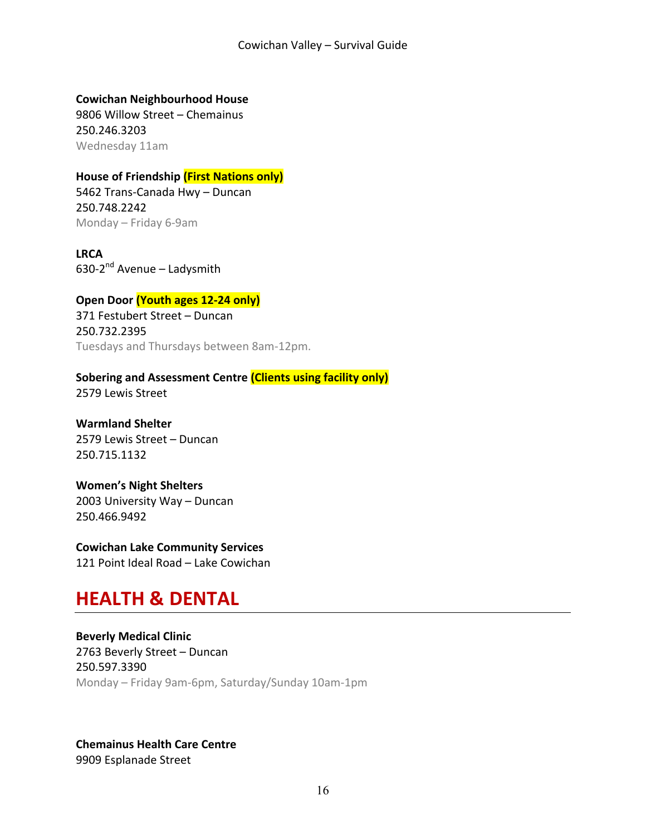**Cowichan Neighbourhood House**

9806 Willow Street - Chemainus 250.246.3203 Wednesday 11am

#### **House of Friendship (First Nations only)**

5462 Trans-Canada Hwy - Duncan 250.748.2242 Monday – Friday 6-9am

**LRCA** 630-2 $<sup>nd</sup>$  Avenue – Ladysmith</sup>

#### **Open Door (Youth ages 12-24 only)**

371 Festubert Street - Duncan 250.732.2395 Tuesdays and Thursdays between 8am-12pm.

**Sobering and Assessment Centre** *(Clients using facility only)* 2579 Lewis Street

**Warmland Shelter** 2579 Lewis Street - Duncan 250.715.1132

**Women's Night Shelters** 2003 University Way - Duncan 250.466.9492

**Cowichan Lake Community Services** 121 Point Ideal Road - Lake Cowichan

### **HEALTH & DENTAL**

**Beverly Medical Clinic** 2763 Beverly Street - Duncan 250.597.3390 Monday – Friday 9am-6pm, Saturday/Sunday 10am-1pm

**Chemainus Health Care Centre** 9909 Esplanade Street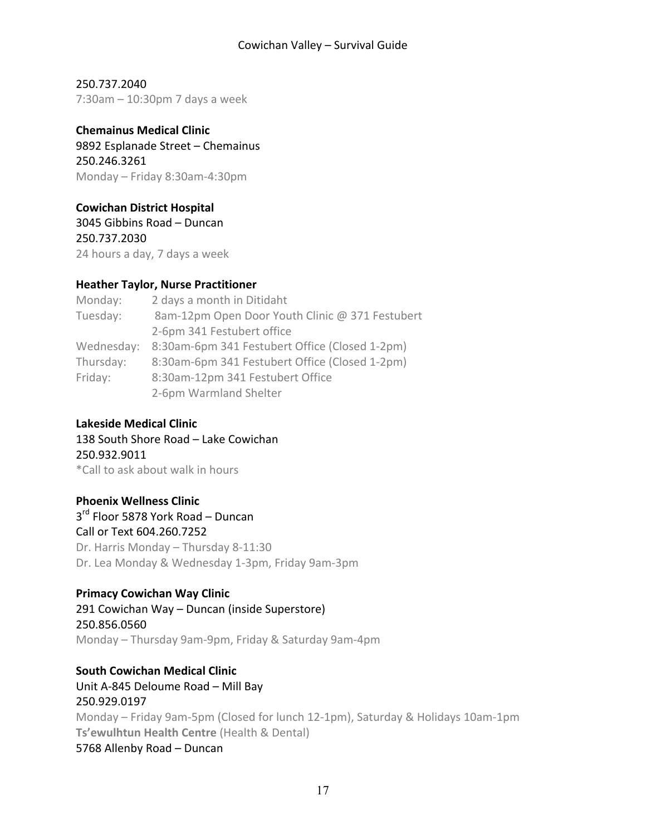250.737.2040  $7:30$ am – 10:30pm 7 days a week

**Chemainus Medical Clinic** 9892 Esplanade Street - Chemainus 250.246.3261 Monday – Friday 8:30am-4:30pm

#### **Cowichan District Hospital**

3045 Gibbins Road – Duncan 250.737.2030 24 hours a day, 7 days a week

#### **Heather Taylor, Nurse Practitioner**

Monday: 2 days a month in Ditidaht Tuesday: 8am-12pm Open Door Youth Clinic @ 371 Festubert 2-6pm 341 Festubert office Wednesday: 8:30am-6pm 341 Festubert Office (Closed 1-2pm) Thursday: 8:30am-6pm 341 Festubert Office (Closed 1-2pm) Friday: 8:30am-12pm 341 Festubert Office 2-6pm Warmland Shelter

#### **Lakeside Medical Clinic**

138 South Shore Road - Lake Cowichan 250.932.9011 \*Call to ask about walk in hours

#### **Phoenix Wellness Clinic**

 $3<sup>rd</sup>$  Floor 5878 York Road – Duncan Call or Text 604.260.7252 Dr. Harris Monday - Thursday 8-11:30 Dr. Lea Monday & Wednesday 1-3pm, Friday 9am-3pm

#### **Primacy Cowichan Way Clinic**

291 Cowichan Way - Duncan (inside Superstore) 250.856.0560 Monday – Thursday 9am-9pm, Friday & Saturday 9am-4pm

#### **South Cowichan Medical Clinic**

Unit A-845 Deloume Road - Mill Bay 250.929.0197 Monday – Friday 9am-5pm (Closed for lunch 12-1pm), Saturday & Holidays 10am-1pm **Ts'ewulhtun Health Centre** (Health & Dental) 5768 Allenby Road - Duncan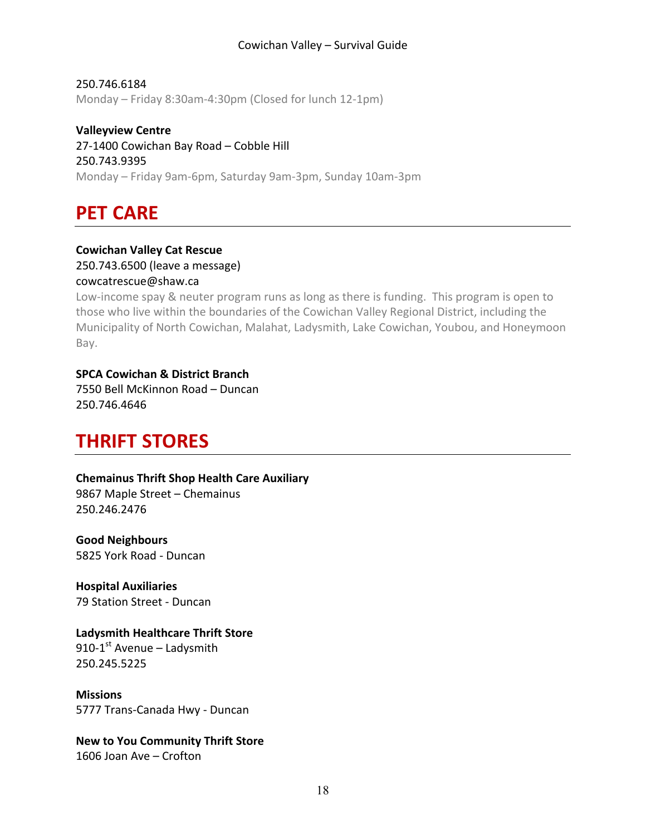250.746.6184 Monday – Friday 8:30am-4:30pm (Closed for lunch 12-1pm)

**Valleyview Centre** 27-1400 Cowichan Bay Road - Cobble Hill 250.743.9395 Monday – Friday 9am-6pm, Saturday 9am-3pm, Sunday 10am-3pm

**PET CARE** 

#### **Cowichan Valley Cat Rescue** 250.743.6500 (leave a message)

#### cowcatrescue@shaw.ca

Low-income spay  $\&$  neuter program runs as long as there is funding. This program is open to those who live within the boundaries of the Cowichan Valley Regional District, including the Municipality of North Cowichan, Malahat, Ladysmith, Lake Cowichan, Youbou, and Honeymoon Bay. 

#### **SPCA Cowichan & District Branch**

7550 Bell McKinnon Road - Duncan 250.746.4646

### **THRIFT STORES**

#### **Chemainus Thrift Shop Health Care Auxiliary**

9867 Maple Street - Chemainus 250.246.2476

**Good Neighbours** 5825 York Road - Duncan

**Hospital Auxiliaries** 79 Station Street - Duncan

#### **Ladysmith Healthcare Thrift Store**

910-1st Avenue  $-$  Ladysmith 250.245.5225

**Missions**  5777 Trans-Canada Hwy - Duncan

#### **New to You Community Thrift Store**

1606 Joan Ave - Crofton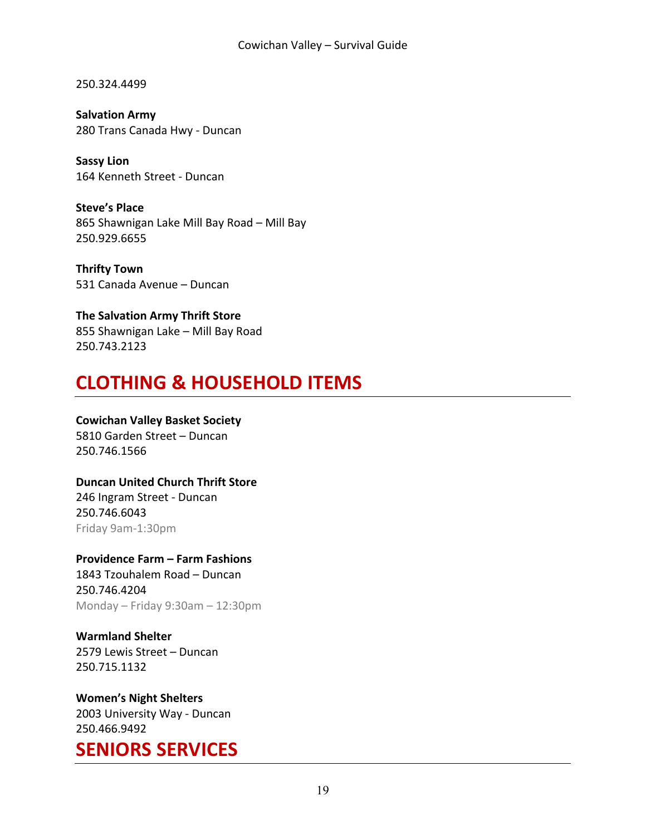250.324.4499

**Salvation Army** 280 Trans Canada Hwy - Duncan

**Sassy Lion** 164 Kenneth Street - Duncan

**Steve's Place** 865 Shawnigan Lake Mill Bay Road - Mill Bay 250.929.6655

**Thrifty Town** 531 Canada Avenue - Duncan

**The Salvation Army Thrift Store** 855 Shawnigan Lake - Mill Bay Road 250.743.2123

# **CLOTHING & HOUSEHOLD ITEMS**

#### **Cowichan Valley Basket Society** 5810 Garden Street - Duncan

250.746.1566

#### **Duncan United Church Thrift Store**

246 Ingram Street - Duncan 250.746.6043 Friday 9am-1:30pm

#### **Providence Farm – Farm Fashions**

1843 Tzouhalem Road - Duncan 250.746.4204 Monday – Friday 9:30am – 12:30pm

**Warmland Shelter** 2579 Lewis Street - Duncan 250.715.1132

**Women's Night Shelters** 2003 University Way - Duncan 250.466.9492

### **SENIORS SERVICES**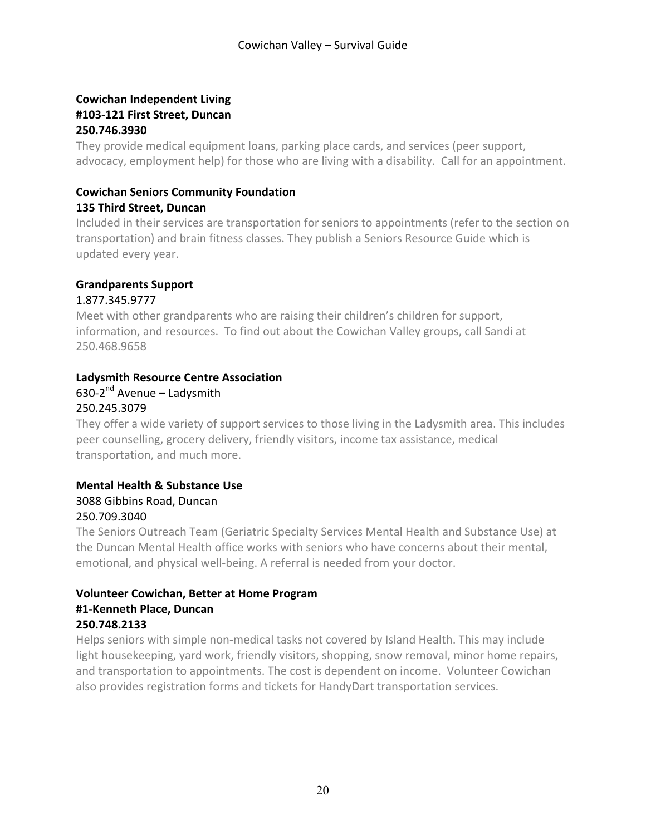#### **Cowichan Independent Living #103-121 First Street, Duncan 250.746.3930**

They provide medical equipment loans, parking place cards, and services (peer support, advocacy, employment help) for those who are living with a disability. Call for an appointment.

### **Cowichan Seniors Community Foundation**

#### **135 Third Street, Duncan**

Included in their services are transportation for seniors to appointments (refer to the section on transportation) and brain fitness classes. They publish a Seniors Resource Guide which is updated every year.

#### **Grandparents Support**

#### 1.877.345.9777

Meet with other grandparents who are raising their children's children for support, information, and resources. To find out about the Cowichan Valley groups, call Sandi at 250.468.9658

#### **Ladysmith Resource Centre Association**

### $630-2^{nd}$  Avenue – Ladysmith

# 250.245.3079

They offer a wide variety of support services to those living in the Ladysmith area. This includes peer counselling, grocery delivery, friendly visitors, income tax assistance, medical transportation, and much more.

#### **Mental Health & Substance Use** 3088 Gibbins Road, Duncan 250.709.3040

The Seniors Outreach Team (Geriatric Specialty Services Mental Health and Substance Use) at the Duncan Mental Health office works with seniors who have concerns about their mental, emotional, and physical well-being. A referral is needed from your doctor.

#### **Volunteer Cowichan, Better at Home Program #1-Kenneth Place, Duncan 250.748.2133**

Helps seniors with simple non-medical tasks not covered by Island Health. This may include light housekeeping, yard work, friendly visitors, shopping, snow removal, minor home repairs, and transportation to appointments. The cost is dependent on income. Volunteer Cowichan also provides registration forms and tickets for HandyDart transportation services.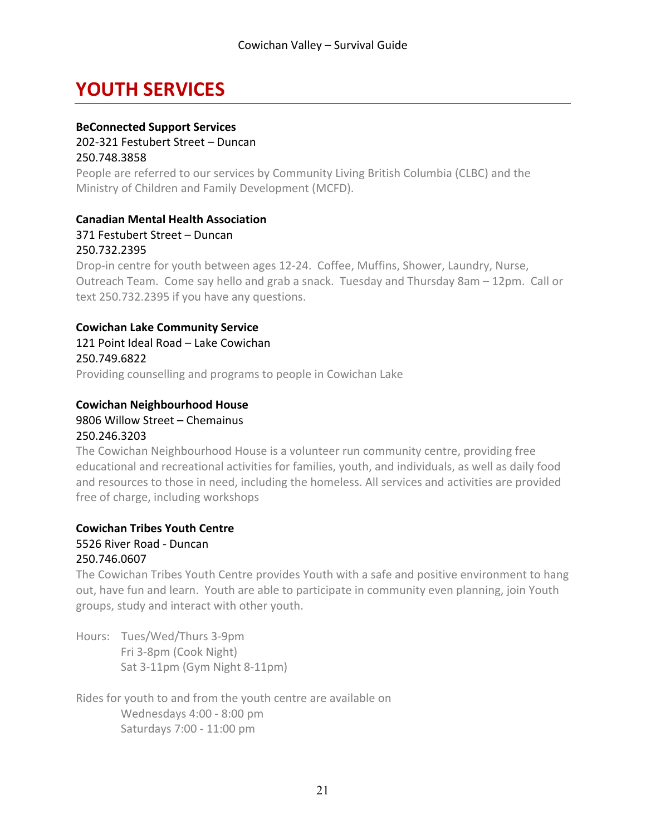### **YOUTH SERVICES**

#### **BeConnected Support Services**

202-321 Festubert Street - Duncan 250.748.3858

People are referred to our services by Community Living British Columbia (CLBC) and the Ministry of Children and Family Development (MCFD).

#### **Canadian Mental Health Association**

371 Festubert Street - Duncan

#### 250.732.2395

Drop-in centre for youth between ages 12-24. Coffee, Muffins, Shower, Laundry, Nurse, Outreach Team. Come say hello and grab a snack. Tuesday and Thursday 8am  $-12$ pm. Call or text 250.732.2395 if you have any questions.

#### **Cowichan Lake Community Service**

121 Point Ideal Road – Lake Cowichan 250.749.6822 Providing counselling and programs to people in Cowichan Lake

#### **Cowichan Neighbourhood House**

#### 9806 Willow Street - Chemainus 250.246.3203

The Cowichan Neighbourhood House is a volunteer run community centre, providing free educational and recreational activities for families, youth, and individuals, as well as daily food and resources to those in need, including the homeless. All services and activities are provided free of charge, including workshops

#### **Cowichan Tribes Youth Centre** 5526 River Road - Duncan

#### 250.746.0607

The Cowichan Tribes Youth Centre provides Youth with a safe and positive environment to hang out, have fun and learn. Youth are able to participate in community even planning, join Youth groups, study and interact with other youth.

Hours: Tues/Wed/Thurs 3-9pm Fri 3-8pm (Cook Night) Sat 3-11pm (Gym Night 8-11pm)

Rides for youth to and from the youth centre are available on Wednesdays 4:00 - 8:00 pm Saturdays 7:00 - 11:00 pm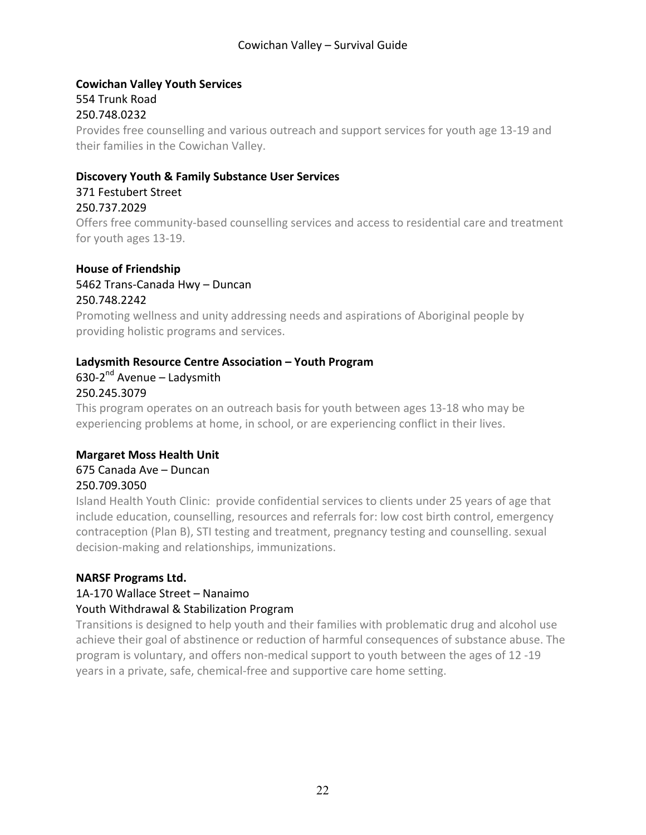#### **Cowichan Valley Youth Services** 554 Trunk Road 250.748.0232

Provides free counselling and various outreach and support services for youth age 13-19 and their families in the Cowichan Valley.

#### **Discovery Youth & Family Substance User Services**

#### 371 Festubert Street 250.737.2029

Offers free community-based counselling services and access to residential care and treatment for youth ages 13-19.

#### **House of Friendship**

5462 Trans-Canada Hwy - Duncan

#### 250.748.2242

Promoting wellness and unity addressing needs and aspirations of Aboriginal people by providing holistic programs and services.

#### **Ladysmith Resource Centre Association – Youth Program**

#### 630-2 $<sup>nd</sup>$  Avenue – Ladysmith</sup> 250.245.3079

This program operates on an outreach basis for youth between ages 13-18 who may be experiencing problems at home, in school, or are experiencing conflict in their lives.

#### **Margaret Moss Health Unit**

#### 675 Canada Ave – Duncan 250.709.3050

Island Health Youth Clinic: provide confidential services to clients under 25 years of age that include education, counselling, resources and referrals for: low cost birth control, emergency contraception (Plan B), STI testing and treatment, pregnancy testing and counselling. sexual decision-making and relationships, immunizations.

#### **NARSF Programs Ltd.**

### 1A-170 Wallace Street - Nanaimo

#### Youth Withdrawal & Stabilization Program

Transitions is designed to help youth and their families with problematic drug and alcohol use achieve their goal of abstinence or reduction of harmful consequences of substance abuse. The program is voluntary, and offers non-medical support to youth between the ages of 12 -19 years in a private, safe, chemical-free and supportive care home setting.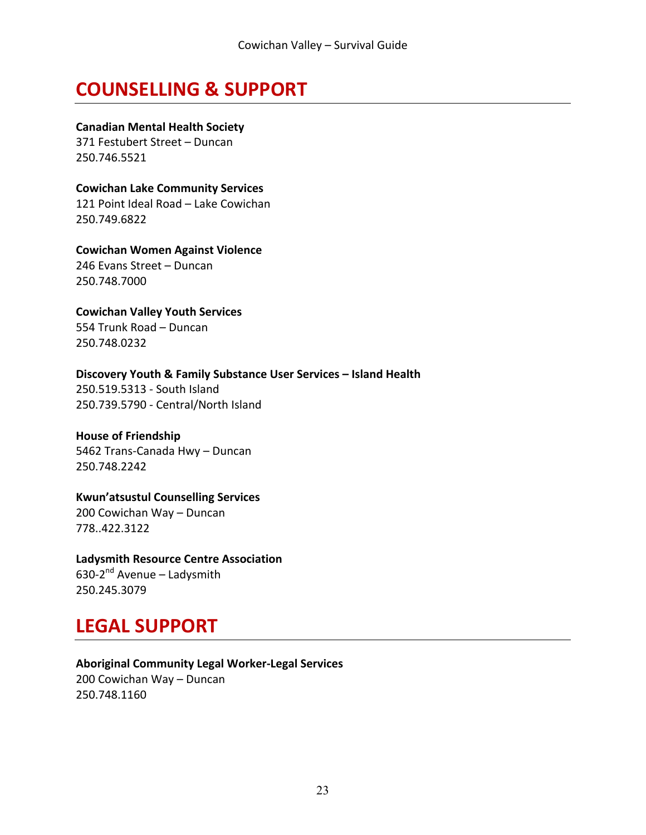### **COUNSELLING & SUPPORT**

**Canadian Mental Health Society**

371 Festubert Street - Duncan 250.746.5521

**Cowichan Lake Community Services** 121 Point Ideal Road - Lake Cowichan 250.749.6822

**Cowichan Women Against Violence** 246 Evans Street - Duncan 250.748.7000

**Cowichan Valley Youth Services** 554 Trunk Road – Duncan 250.748.0232

**Discovery Youth & Family Substance User Services – Island Health** 250.519.5313 - South Island 250.739.5790 - Central/North Island

#### **House of Friendship**

5462 Trans-Canada Hwy - Duncan 250.748.2242

#### **Kwun'atsustul Counselling Services**

200 Cowichan Way - Duncan 778..422.3122

#### **Ladysmith Resource Centre Association**

630-2 $<sup>nd</sup>$  Avenue – Ladysmith</sup> 250.245.3079

# **LEGAL SUPPORT**

**Aboriginal Community Legal Worker-Legal Services** 200 Cowichan Way - Duncan 250.748.1160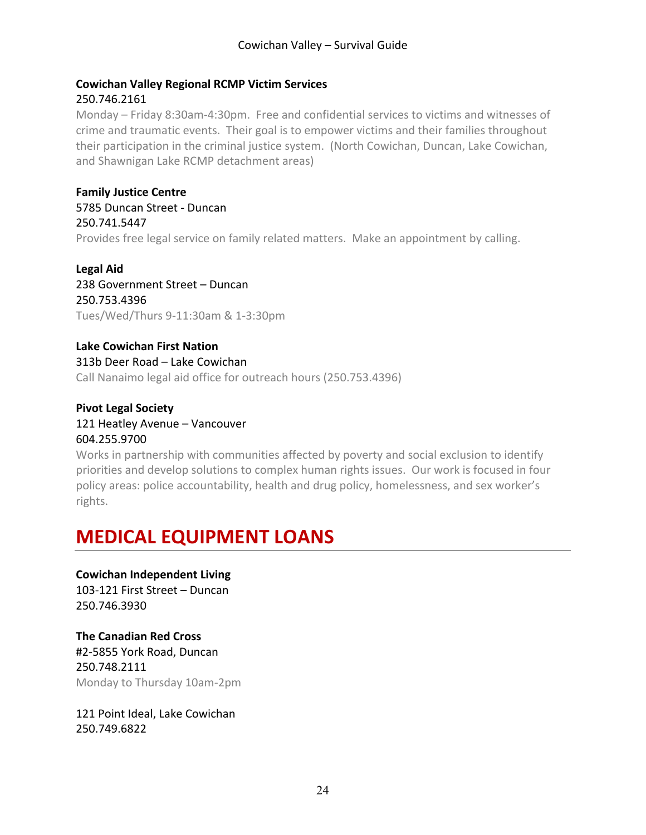#### **Cowichan Valley Regional RCMP Victim Services**

#### 250.746.2161

Monday – Friday 8:30am-4:30pm. Free and confidential services to victims and witnesses of crime and traumatic events. Their goal is to empower victims and their families throughout their participation in the criminal justice system. (North Cowichan, Duncan, Lake Cowichan, and Shawnigan Lake RCMP detachment areas)

**Family Justice Centre** 5785 Duncan Street - Duncan 250.741.5447 Provides free legal service on family related matters. Make an appointment by calling.

Legal Aid 238 Government Street - Duncan 250.753.4396 Tues/Wed/Thurs 9-11:30am & 1-3:30pm

**Lake Cowichan First Nation** 313b Deer Road – Lake Cowichan Call Nanaimo legal aid office for outreach hours (250.753.4396)

**Pivot Legal Society** 121 Heatley Avenue - Vancouver 604.255.9700

Works in partnership with communities affected by poverty and social exclusion to identify priorities and develop solutions to complex human rights issues. Our work is focused in four policy areas: police accountability, health and drug policy, homelessness, and sex worker's rights.

# **MEDICAL EQUIPMENT LOANS**

**Cowichan Independent Living** 103-121 First Street - Duncan 250.746.3930

**The Canadian Red Cross** #2-5855 York Road, Duncan 250.748.2111 Monday to Thursday 10am-2pm

121 Point Ideal, Lake Cowichan 250.749.6822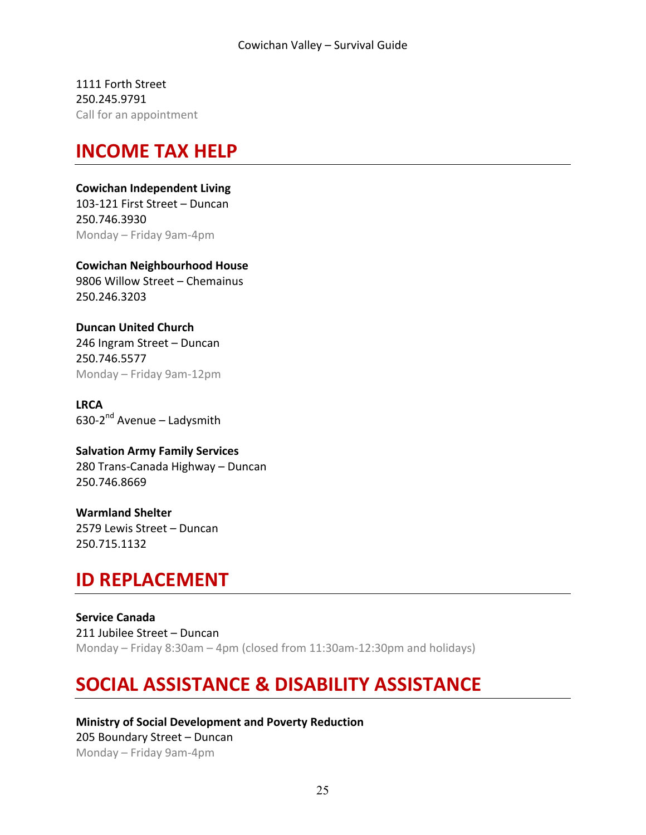1111 Forth Street 250.245.9791 Call for an appointment

### **INCOME TAX HELP**

#### **Cowichan Independent Living**

103-121 First Street - Duncan 250.746.3930 Monday – Friday 9am-4pm

**Cowichan Neighbourhood House** 9806 Willow Street - Chemainus 250.246.3203

**Duncan United Church** 246 Ingram Street - Duncan 250.746.5577 Monday – Friday 9am-12pm

**LRCA** 630-2 $^{nd}$  Avenue – Ladysmith

**Salvation Army Family Services** 280 Trans-Canada Highway - Duncan 250.746.8669

**Warmland Shelter** 2579 Lewis Street - Duncan 250.715.1132

# **ID REPLACEMENT**

**Service Canada** 211 Jubilee Street - Duncan Monday – Friday 8:30am – 4pm (closed from  $11:30$ am-12:30pm and holidays)

# **SOCIAL ASSISTANCE & DISABILITY ASSISTANCE**

**Ministry of Social Development and Poverty Reduction** 205 Boundary Street - Duncan Monday – Friday 9am-4pm